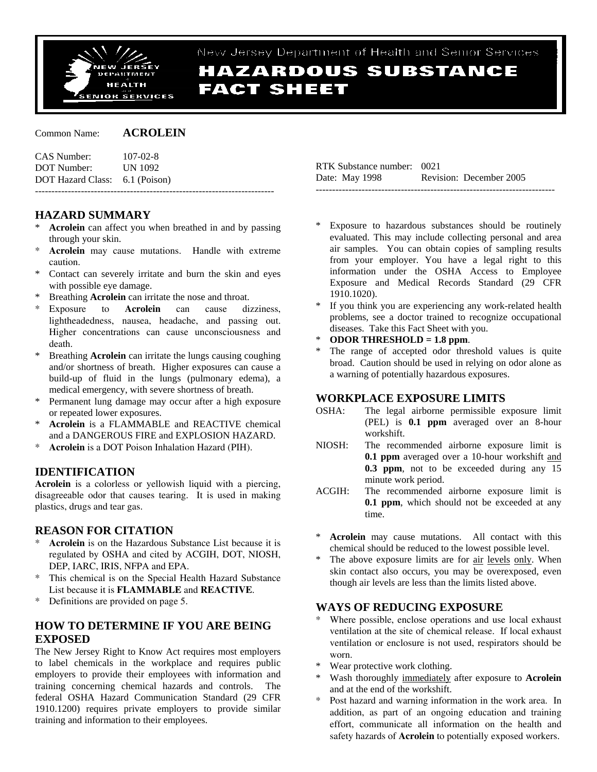

# New Jersey Department of Health and Senior Services **HAZARDOUS SUBSTANCE FACT SHEET**

Common Name: **ACROLEIN**

| CAS Number:                    | $107 - 02 - 8$ |
|--------------------------------|----------------|
| DOT Number:                    | <b>UN 1092</b> |
| DOT Hazard Class: 6.1 (Poison) |                |
|                                |                |

# **HAZARD SUMMARY**

- Acrolein can affect you when breathed in and by passing through your skin.
- \* **Acrolein** may cause mutations. Handle with extreme caution.
- Contact can severely irritate and burn the skin and eyes with possible eye damage.
- Breathing **Acrolein** can irritate the nose and throat.
- Exposure to **Acrolein** can cause dizziness, lightheadedness, nausea, headache, and passing out. Higher concentrations can cause unconsciousness and death.
- \* Breathing **Acrolein** can irritate the lungs causing coughing and/or shortness of breath. Higher exposures can cause a build-up of fluid in the lungs (pulmonary edema), a medical emergency, with severe shortness of breath.
- Permanent lung damage may occur after a high exposure or repeated lower exposures.
- \* **Acrolein** is a FLAMMABLE and REACTIVE chemical and a DANGEROUS FIRE and EXPLOSION HAZARD.
- Acrolein is a DOT Poison Inhalation Hazard (PIH).

# **IDENTIFICATION**

**Acrolein** is a colorless or yellowish liquid with a piercing, disagreeable odor that causes tearing. It is used in making plastics, drugs and tear gas.

### **REASON FOR CITATION**

- \* **Acrolein** is on the Hazardous Substance List because it is regulated by OSHA and cited by ACGIH, DOT, NIOSH, DEP, IARC, IRIS, NFPA and EPA.
- This chemical is on the Special Health Hazard Substance List because it is **FLAMMABLE** and **REACTIVE**.
- \* Definitions are provided on page 5.

### **HOW TO DETERMINE IF YOU ARE BEING EXPOSED**

The New Jersey Right to Know Act requires most employers to label chemicals in the workplace and requires public employers to provide their employees with information and training concerning chemical hazards and controls. The federal OSHA Hazard Communication Standard (29 CFR 1910.1200) requires private employers to provide similar training and information to their employees.

| RTK Substance number: 0021 |                         |
|----------------------------|-------------------------|
| Date: May 1998             | Revision: December 2005 |
|                            |                         |

- Exposure to hazardous substances should be routinely evaluated. This may include collecting personal and area air samples. You can obtain copies of sampling results from your employer. You have a legal right to this information under the OSHA Access to Employee Exposure and Medical Records Standard (29 CFR 1910.1020).
- If you think you are experiencing any work-related health problems, see a doctor trained to recognize occupational diseases. Take this Fact Sheet with you.
- **ODOR THRESHOLD = 1.8 ppm.**
- The range of accepted odor threshold values is quite broad. Caution should be used in relying on odor alone as a warning of potentially hazardous exposures.

### **WORKPLACE EXPOSURE LIMITS**

- OSHA: The legal airborne permissible exposure limit (PEL) is **0.1 ppm** averaged over an 8-hour workshift.
- NIOSH: The recommended airborne exposure limit is **0.1 ppm** averaged over a 10-hour workshift and **0.3 ppm**, not to be exceeded during any 15 minute work period.
- ACGIH: The recommended airborne exposure limit is **0.1 ppm**, which should not be exceeded at any time.
- Acrolein may cause mutations. All contact with this chemical should be reduced to the lowest possible level.
- The above exposure limits are for air levels only. When skin contact also occurs, you may be overexposed, even though air levels are less than the limits listed above.

### **WAYS OF REDUCING EXPOSURE**

- Where possible, enclose operations and use local exhaust ventilation at the site of chemical release. If local exhaust ventilation or enclosure is not used, respirators should be worn.
- \* Wear protective work clothing.
- Wash thoroughly immediately after exposure to **Acrolein** and at the end of the workshift.
- Post hazard and warning information in the work area. In addition, as part of an ongoing education and training effort, communicate all information on the health and safety hazards of **Acrolein** to potentially exposed workers.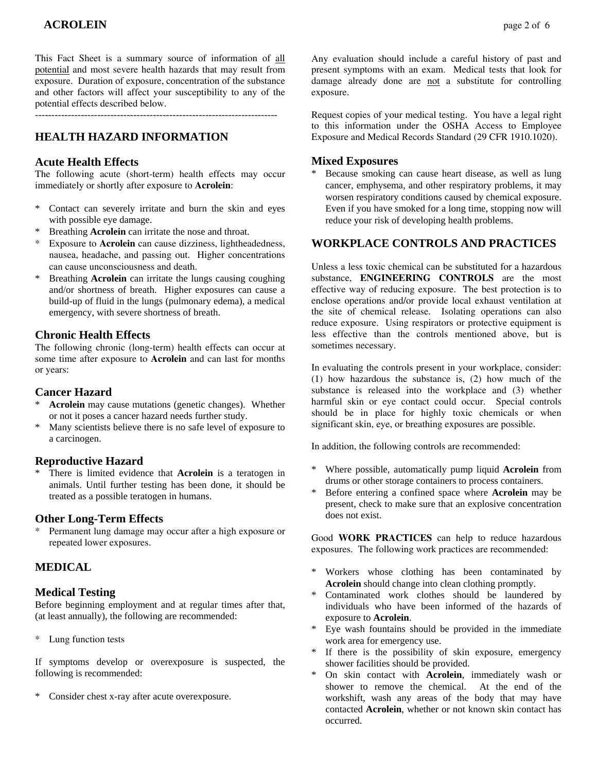This Fact Sheet is a summary source of information of all potential and most severe health hazards that may result from exposure. Duration of exposure, concentration of the substance and other factors will affect your susceptibility to any of the potential effects described below.

--------------------------------------------------------------------------

# **HEALTH HAZARD INFORMATION**

# **Acute Health Effects**

The following acute (short-term) health effects may occur immediately or shortly after exposure to **Acrolein**:

- \* Contact can severely irritate and burn the skin and eyes with possible eye damage.
- Breathing **Acrolein** can irritate the nose and throat.
- \* Exposure to **Acrolein** can cause dizziness, lightheadedness, nausea, headache, and passing out. Higher concentrations can cause unconsciousness and death.
- \* Breathing **Acrolein** can irritate the lungs causing coughing and/or shortness of breath. Higher exposures can cause a build-up of fluid in the lungs (pulmonary edema), a medical emergency, with severe shortness of breath.

# **Chronic Health Effects**

The following chronic (long-term) health effects can occur at some time after exposure to **Acrolein** and can last for months or years:

# **Cancer Hazard**

- Acrolein may cause mutations (genetic changes). Whether or not it poses a cancer hazard needs further study.
- Many scientists believe there is no safe level of exposure to a carcinogen.

# **Reproductive Hazard**

There is limited evidence that **Acrolein** is a teratogen in animals. Until further testing has been done, it should be treated as a possible teratogen in humans.

### **Other Long-Term Effects**

Permanent lung damage may occur after a high exposure or repeated lower exposures.

# **MEDICAL**

# **Medical Testing**

Before beginning employment and at regular times after that, (at least annually), the following are recommended:

\* Lung function tests

If symptoms develop or overexposure is suspected, the following is recommended:

\* Consider chest x-ray after acute overexposure.

Any evaluation should include a careful history of past and present symptoms with an exam. Medical tests that look for damage already done are not a substitute for controlling exposure.

Request copies of your medical testing. You have a legal right to this information under the OSHA Access to Employee Exposure and Medical Records Standard (29 CFR 1910.1020).

# **Mixed Exposures**

Because smoking can cause heart disease, as well as lung cancer, emphysema, and other respiratory problems, it may worsen respiratory conditions caused by chemical exposure. Even if you have smoked for a long time, stopping now will reduce your risk of developing health problems.

# **WORKPLACE CONTROLS AND PRACTICES**

Unless a less toxic chemical can be substituted for a hazardous substance, **ENGINEERING CONTROLS** are the most effective way of reducing exposure. The best protection is to enclose operations and/or provide local exhaust ventilation at the site of chemical release. Isolating operations can also reduce exposure. Using respirators or protective equipment is less effective than the controls mentioned above, but is sometimes necessary.

In evaluating the controls present in your workplace, consider: (1) how hazardous the substance is, (2) how much of the substance is released into the workplace and (3) whether harmful skin or eye contact could occur. Special controls should be in place for highly toxic chemicals or when significant skin, eye, or breathing exposures are possible.

In addition, the following controls are recommended:

- \* Where possible, automatically pump liquid **Acrolein** from drums or other storage containers to process containers.
- \* Before entering a confined space where **Acrolein** may be present, check to make sure that an explosive concentration does not exist.

Good **WORK PRACTICES** can help to reduce hazardous exposures. The following work practices are recommended:

- \* Workers whose clothing has been contaminated by **Acrolein** should change into clean clothing promptly.
- \* Contaminated work clothes should be laundered by individuals who have been informed of the hazards of exposure to **Acrolein**.
- Eye wash fountains should be provided in the immediate work area for emergency use.
- \* If there is the possibility of skin exposure, emergency shower facilities should be provided.
- On skin contact with **Acrolein**, immediately wash or shower to remove the chemical. At the end of the workshift, wash any areas of the body that may have contacted **Acrolein**, whether or not known skin contact has occurred.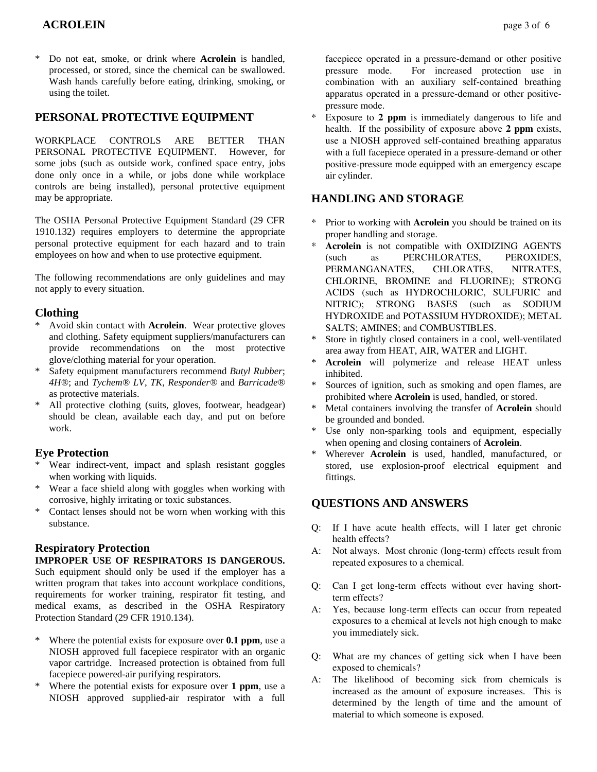### **ACROLEIN** page 3 of 6

\* Do not eat, smoke, or drink where **Acrolein** is handled, processed, or stored, since the chemical can be swallowed. Wash hands carefully before eating, drinking, smoking, or using the toilet.

#### **PERSONAL PROTECTIVE EQUIPMENT**

WORKPLACE CONTROLS ARE BETTER THAN PERSONAL PROTECTIVE EQUIPMENT. However, for some jobs (such as outside work, confined space entry, jobs done only once in a while, or jobs done while workplace controls are being installed), personal protective equipment may be appropriate.

The OSHA Personal Protective Equipment Standard (29 CFR 1910.132) requires employers to determine the appropriate personal protective equipment for each hazard and to train employees on how and when to use protective equipment.

The following recommendations are only guidelines and may not apply to every situation.

#### **Clothing**

- \* Avoid skin contact with **Acrolein**. Wear protective gloves and clothing. Safety equipment suppliers/manufacturers can provide recommendations on the most protective glove/clothing material for your operation.
- \* Safety equipment manufacturers recommend *Butyl Rubber*; *4H®*; and *Tychem® LV*, *TK*, *Responder®* and *Barricade®* as protective materials.
- \* All protective clothing (suits, gloves, footwear, headgear) should be clean, available each day, and put on before work.

#### **Eye Protection**

- Wear indirect-vent, impact and splash resistant goggles when working with liquids.
- \* Wear a face shield along with goggles when working with corrosive, highly irritating or toxic substances.
- \* Contact lenses should not be worn when working with this substance.

### **Respiratory Protection**

#### **IMPROPER USE OF RESPIRATORS IS DANGEROUS.**

Such equipment should only be used if the employer has a written program that takes into account workplace conditions, requirements for worker training, respirator fit testing, and medical exams, as described in the OSHA Respiratory Protection Standard (29 CFR 1910.134).

- \* Where the potential exists for exposure over **0.1 ppm**, use a NIOSH approved full facepiece respirator with an organic vapor cartridge. Increased protection is obtained from full facepiece powered-air purifying respirators.
- \* Where the potential exists for exposure over **1 ppm**, use a NIOSH approved supplied-air respirator with a full

facepiece operated in a pressure-demand or other positive pressure mode. For increased protection use in combination with an auxiliary self-contained breathing apparatus operated in a pressure-demand or other positivepressure mode.

Exposure to 2 ppm is immediately dangerous to life and health. If the possibility of exposure above **2 ppm** exists, use a NIOSH approved self-contained breathing apparatus with a full facepiece operated in a pressure-demand or other positive-pressure mode equipped with an emergency escape air cylinder.

#### **HANDLING AND STORAGE**

- Prior to working with **Acrolein** you should be trained on its proper handling and storage.
- Acrolein is not compatible with OXIDIZING AGENTS (such as PERCHLORATES, PEROXIDES, PERMANGANATES, CHLORATES, NITRATES, CHLORINE, BROMINE and FLUORINE); STRONG ACIDS (such as HYDROCHLORIC, SULFURIC and NITRIC); STRONG BASES (such as SODIUM HYDROXIDE and POTASSIUM HYDROXIDE); METAL SALTS; AMINES; and COMBUSTIBLES.
- Store in tightly closed containers in a cool, well-ventilated area away from HEAT, AIR, WATER and LIGHT.
- Acrolein will polymerize and release HEAT unless inhibited.
- Sources of ignition, such as smoking and open flames, are prohibited where **Acrolein** is used, handled, or stored.
- Metal containers involving the transfer of **Acrolein** should be grounded and bonded.
- Use only non-sparking tools and equipment, especially when opening and closing containers of **Acrolein**.
- Wherever **Acrolein** is used, handled, manufactured, or stored, use explosion-proof electrical equipment and fittings.

### **QUESTIONS AND ANSWERS**

- Q: If I have acute health effects, will I later get chronic health effects?
- A: Not always. Most chronic (long-term) effects result from repeated exposures to a chemical.
- Q: Can I get long-term effects without ever having shortterm effects?
- A: Yes, because long-term effects can occur from repeated exposures to a chemical at levels not high enough to make you immediately sick.
- Q: What are my chances of getting sick when I have been exposed to chemicals?
- A: The likelihood of becoming sick from chemicals is increased as the amount of exposure increases. This is determined by the length of time and the amount of material to which someone is exposed.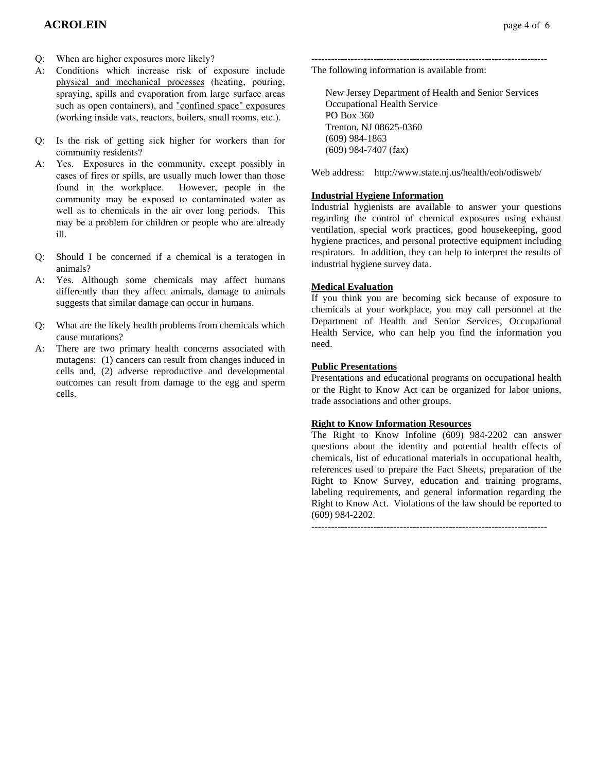- Q: When are higher exposures more likely?
- A: Conditions which increase risk of exposure include physical and mechanical processes (heating, pouring, spraying, spills and evaporation from large surface areas such as open containers), and "confined space" exposures (working inside vats, reactors, boilers, small rooms, etc.).
- Q: Is the risk of getting sick higher for workers than for community residents?
- A: Yes. Exposures in the community, except possibly in cases of fires or spills, are usually much lower than those found in the workplace. However, people in the community may be exposed to contaminated water as well as to chemicals in the air over long periods. This may be a problem for children or people who are already ill.
- Q: Should I be concerned if a chemical is a teratogen in animals?
- A: Yes. Although some chemicals may affect humans differently than they affect animals, damage to animals suggests that similar damage can occur in humans.
- Q: What are the likely health problems from chemicals which cause mutations?
- A: There are two primary health concerns associated with mutagens: (1) cancers can result from changes induced in cells and, (2) adverse reproductive and developmental outcomes can result from damage to the egg and sperm cells.

 New Jersey Department of Health and Senior Services Occupational Health Service PO Box 360 Trenton, NJ 08625-0360 (609) 984-1863 (609) 984-7407 (fax)

Web address: http://www.state.nj.us/health/eoh/odisweb/

#### **Industrial Hygiene Information**

Industrial hygienists are available to answer your questions regarding the control of chemical exposures using exhaust ventilation, special work practices, good housekeeping, good hygiene practices, and personal protective equipment including respirators. In addition, they can help to interpret the results of industrial hygiene survey data.

#### **Medical Evaluation**

If you think you are becoming sick because of exposure to chemicals at your workplace, you may call personnel at the Department of Health and Senior Services, Occupational Health Service, who can help you find the information you need.

#### **Public Presentations**

Presentations and educational programs on occupational health or the Right to Know Act can be organized for labor unions, trade associations and other groups.

#### **Right to Know Information Resources**

The Right to Know Infoline (609) 984-2202 can answer questions about the identity and potential health effects of chemicals, list of educational materials in occupational health, references used to prepare the Fact Sheets, preparation of the Right to Know Survey, education and training programs, labeling requirements, and general information regarding the Right to Know Act. Violations of the law should be reported to (609) 984-2202.

 $-$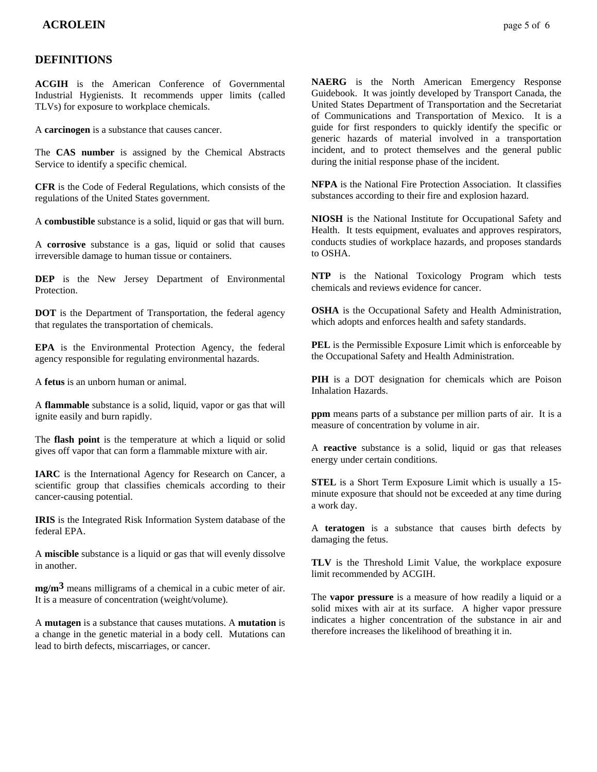### **DEFINITIONS**

**ACGIH** is the American Conference of Governmental Industrial Hygienists. It recommends upper limits (called TLVs) for exposure to workplace chemicals.

A **carcinogen** is a substance that causes cancer.

The **CAS number** is assigned by the Chemical Abstracts Service to identify a specific chemical.

**CFR** is the Code of Federal Regulations, which consists of the regulations of the United States government.

A **combustible** substance is a solid, liquid or gas that will burn.

A **corrosive** substance is a gas, liquid or solid that causes irreversible damage to human tissue or containers.

**DEP** is the New Jersey Department of Environmental **Protection** 

**DOT** is the Department of Transportation, the federal agency that regulates the transportation of chemicals.

**EPA** is the Environmental Protection Agency, the federal agency responsible for regulating environmental hazards.

A **fetus** is an unborn human or animal.

A **flammable** substance is a solid, liquid, vapor or gas that will ignite easily and burn rapidly.

The **flash point** is the temperature at which a liquid or solid gives off vapor that can form a flammable mixture with air.

**IARC** is the International Agency for Research on Cancer, a scientific group that classifies chemicals according to their cancer-causing potential.

**IRIS** is the Integrated Risk Information System database of the federal EPA.

A **miscible** substance is a liquid or gas that will evenly dissolve in another.

**mg/m3** means milligrams of a chemical in a cubic meter of air. It is a measure of concentration (weight/volume).

A **mutagen** is a substance that causes mutations. A **mutation** is a change in the genetic material in a body cell. Mutations can lead to birth defects, miscarriages, or cancer.

**NAERG** is the North American Emergency Response Guidebook. It was jointly developed by Transport Canada, the United States Department of Transportation and the Secretariat of Communications and Transportation of Mexico. It is a guide for first responders to quickly identify the specific or generic hazards of material involved in a transportation incident, and to protect themselves and the general public during the initial response phase of the incident.

**NFPA** is the National Fire Protection Association. It classifies substances according to their fire and explosion hazard.

**NIOSH** is the National Institute for Occupational Safety and Health. It tests equipment, evaluates and approves respirators, conducts studies of workplace hazards, and proposes standards to OSHA.

**NTP** is the National Toxicology Program which tests chemicals and reviews evidence for cancer.

**OSHA** is the Occupational Safety and Health Administration, which adopts and enforces health and safety standards.

**PEL** is the Permissible Exposure Limit which is enforceable by the Occupational Safety and Health Administration.

**PIH** is a DOT designation for chemicals which are Poison Inhalation Hazards.

**ppm** means parts of a substance per million parts of air. It is a measure of concentration by volume in air.

A **reactive** substance is a solid, liquid or gas that releases energy under certain conditions.

**STEL** is a Short Term Exposure Limit which is usually a 15 minute exposure that should not be exceeded at any time during a work day.

A **teratogen** is a substance that causes birth defects by damaging the fetus.

**TLV** is the Threshold Limit Value, the workplace exposure limit recommended by ACGIH.

The **vapor pressure** is a measure of how readily a liquid or a solid mixes with air at its surface. A higher vapor pressure indicates a higher concentration of the substance in air and therefore increases the likelihood of breathing it in.